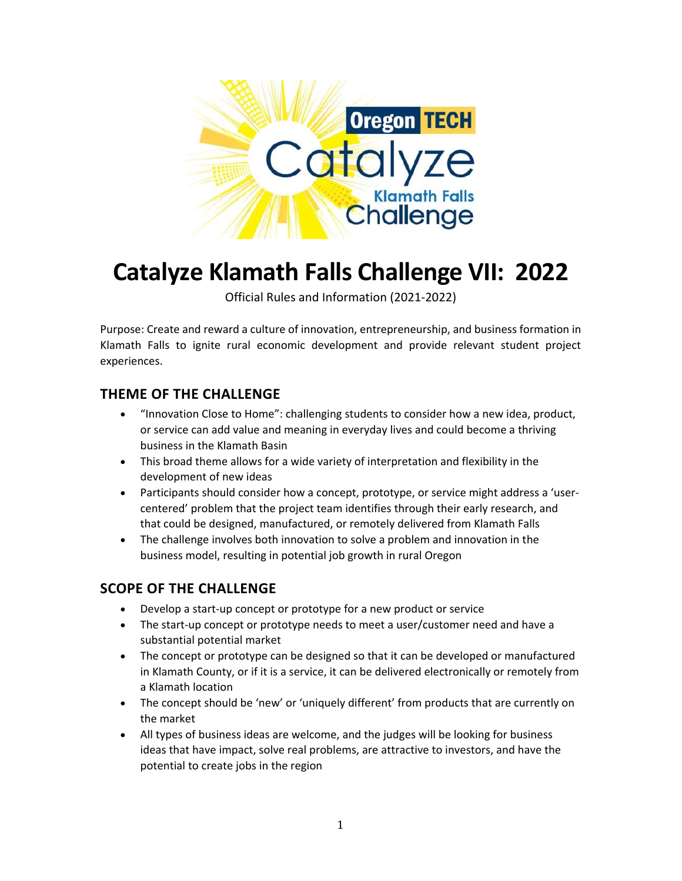

# **Catalyze Klamath Falls Challenge VII: 2022**

Official Rules and Information (2021-2022)

Purpose: Create and reward a culture of innovation, entrepreneurship, and business formation in Klamath Falls to ignite rural economic development and provide relevant student project experiences.

## **THEME OF THE CHALLENGE**

- "Innovation Close to Home": challenging students to consider how a new idea, product, or service can add value and meaning in everyday lives and could become a thriving business in the Klamath Basin
- This broad theme allows for a wide variety of interpretation and flexibility in the development of new ideas
- Participants should consider how a concept, prototype, or service might address a 'usercentered' problem that the project team identifies through their early research, and that could be designed, manufactured, or remotely delivered from Klamath Falls
- The challenge involves both innovation to solve a problem and innovation in the business model, resulting in potential job growth in rural Oregon

# **SCOPE OF THE CHALLENGE**

- Develop a start-up concept or prototype for a new product or service
- The start-up concept or prototype needs to meet a user/customer need and have a substantial potential market
- The concept or prototype can be designed so that it can be developed or manufactured in Klamath County, or if it is a service, it can be delivered electronically or remotely from a Klamath location
- The concept should be 'new' or 'uniquely different' from products that are currently on the market
- All types of business ideas are welcome, and the judges will be looking for business ideas that have impact, solve real problems, are attractive to investors, and have the potential to create jobs in the region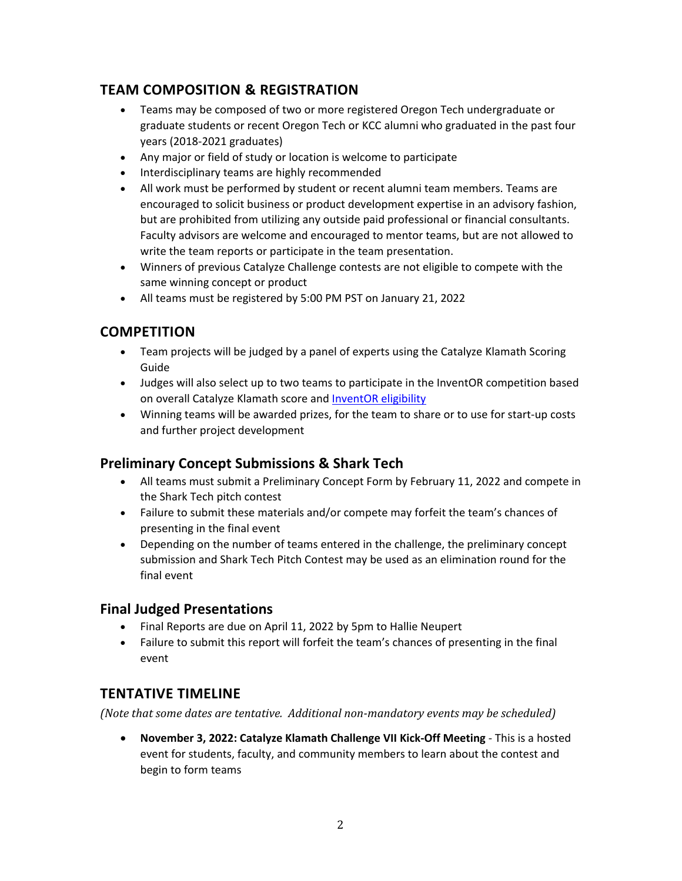## **TEAM COMPOSITION & REGISTRATION**

- Teams may be composed of two or more registered Oregon Tech undergraduate or graduate students or recent Oregon Tech or KCC alumni who graduated in the past four years (2018-2021 graduates)
- Any major or field of study or location is welcome to participate
- Interdisciplinary teams are highly recommended
- All work must be performed by student or recent alumni team members. Teams are encouraged to solicit business or product development expertise in an advisory fashion, but are prohibited from utilizing any outside paid professional or financial consultants. Faculty advisors are welcome and encouraged to mentor teams, but are not allowed to write the team reports or participate in the team presentation.
- Winners of previous Catalyze Challenge contests are not eligible to compete with the same winning concept or product
- All teams must be registered by 5:00 PM PST on January 21, 2022

## **COMPETITION**

- Team projects will be judged by a panel of experts using the Catalyze Klamath Scoring Guide
- Judges will also select up to two teams to participate in the InventOR competition based on overall Catalyze Klamath score and [InventOR eligibility](https://www.inventoregon.org/rules)
- Winning teams will be awarded prizes, for the team to share or to use for start-up costs and further project development

## **Preliminary Concept Submissions & Shark Tech**

- All teams must submit a Preliminary Concept Form by February 11, 2022 and compete in the Shark Tech pitch contest
- Failure to submit these materials and/or compete may forfeit the team's chances of presenting in the final event
- Depending on the number of teams entered in the challenge, the preliminary concept submission and Shark Tech Pitch Contest may be used as an elimination round for the final event

### **Final Judged Presentations**

- Final Reports are due on April 11, 2022 by 5pm to Hallie Neupert
- Failure to submit this report will forfeit the team's chances of presenting in the final event

### **TENTATIVE TIMELINE**

*(Note that some dates are tentative. Additional non-mandatory events may be scheduled)*

• **November 3, 2022: Catalyze Klamath Challenge VII Kick-Off Meeting** - This is a hosted event for students, faculty, and community members to learn about the contest and begin to form teams